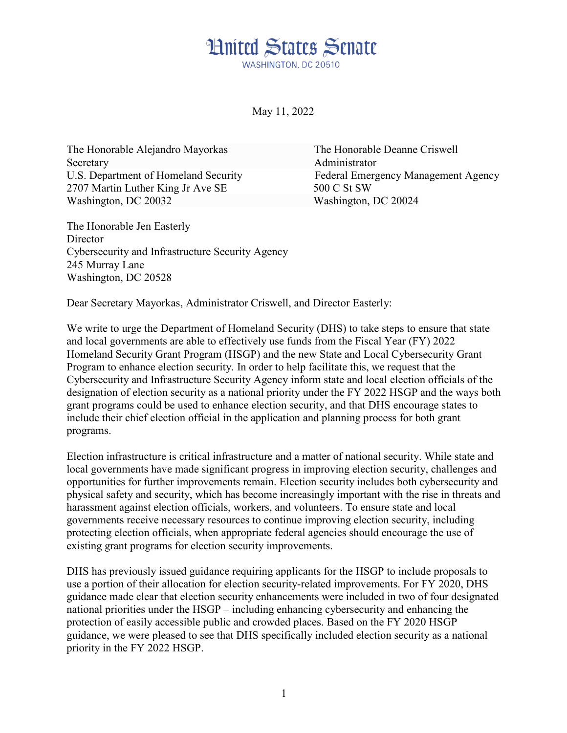## **Hnited States Senate** WASHINGTON DC 20510

May 11, 2022

The Honorable Alejandro Mayorkas The Honorable Deanne Criswell Secretary **Administrator** 2707 Martin Luther King Jr Ave SE 500 C St SW Washington, DC 20032 Washington, DC 20024

The Honorable Jen Easterly **Director** Cybersecurity and Infrastructure Security Agency 245 Murray Lane Washington, DC 20528

U.S. Department of Homeland Security Federal Emergency Management Agency

Dear Secretary Mayorkas, Administrator Criswell, and Director Easterly:

We write to urge the Department of Homeland Security (DHS) to take steps to ensure that state and local governments are able to effectively use funds from the Fiscal Year (FY) 2022 Homeland Security Grant Program (HSGP) and the new State and Local Cybersecurity Grant Program to enhance election security. In order to help facilitate this, we request that the Cybersecurity and Infrastructure Security Agency inform state and local election officials of the designation of election security as a national priority under the FY 2022 HSGP and the ways both grant programs could be used to enhance election security, and that DHS encourage states to include their chief election official in the application and planning process for both grant programs.

Election infrastructure is critical infrastructure and a matter of national security. While state and local governments have made significant progress in improving election security, challenges and opportunities for further improvements remain. Election security includes both cybersecurity and physical safety and security, which has become increasingly important with the rise in threats and harassment against election officials, workers, and volunteers. To ensure state and local governments receive necessary resources to continue improving election security, including protecting election officials, when appropriate federal agencies should encourage the use of existing grant programs for election security improvements.

DHS has previously issued guidance requiring applicants for the HSGP to include proposals to use a portion of their allocation for election security-related improvements. For FY 2020, DHS guidance made clear that election security enhancements were included in two of four designated national priorities under the HSGP – including enhancing cybersecurity and enhancing the protection of easily accessible public and crowded places. Based on the FY 2020 HSGP guidance, we were pleased to see that DHS specifically included election security as a national priority in the FY 2022 HSGP.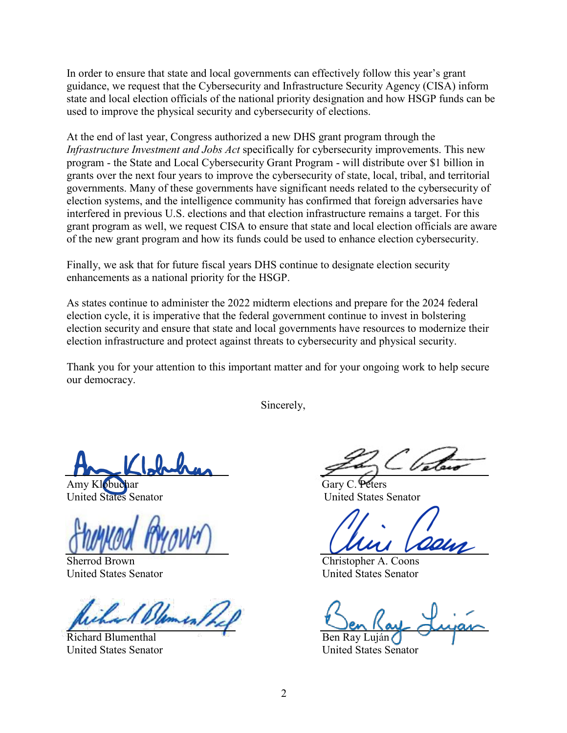In order to ensure that state and local governments can effectively follow this year's grant guidance, we request that the Cybersecurity and Infrastructure Security Agency (CISA) inform state and local election officials of the national priority designation and how HSGP funds can be used to improve the physical security and cybersecurity of elections.

At the end of last year, Congress authorized a new DHS grant program through the *Infrastructure Investment and Jobs Act* specifically for cybersecurity improvements. This new program - the State and Local Cybersecurity Grant Program - will distribute over \$1 billion in grants over the next four years to improve the cybersecurity of state, local, tribal, and territorial governments. Many of these governments have significant needs related to the cybersecurity of election systems, and the intelligence community has confirmed that foreign adversaries have interfered in previous U.S. elections and that election infrastructure remains a target. For this grant program as well, we request CISA to ensure that state and local election officials are aware of the new grant program and how its funds could be used to enhance election cybersecurity.

Finally, we ask that for future fiscal years DHS continue to designate election security enhancements as a national priority for the HSGP.

As states continue to administer the 2022 midterm elections and prepare for the 2024 federal election cycle, it is imperative that the federal government continue to invest in bolstering election security and ensure that state and local governments have resources to modernize their election infrastructure and protect against threats to cybersecurity and physical security.

Thank you for your attention to this important matter and for your ongoing work to help secure our democracy.

Sincerely,

 $\overline{a}$ 

Amy Klobuchar Gary C. Peters United States Senator United States Senator

Sherrod Brown Christopher A. Coons United States Senator United States Senator

Richard Blumenthal **Ben Ray Luján** 

United States Senator United States Senator